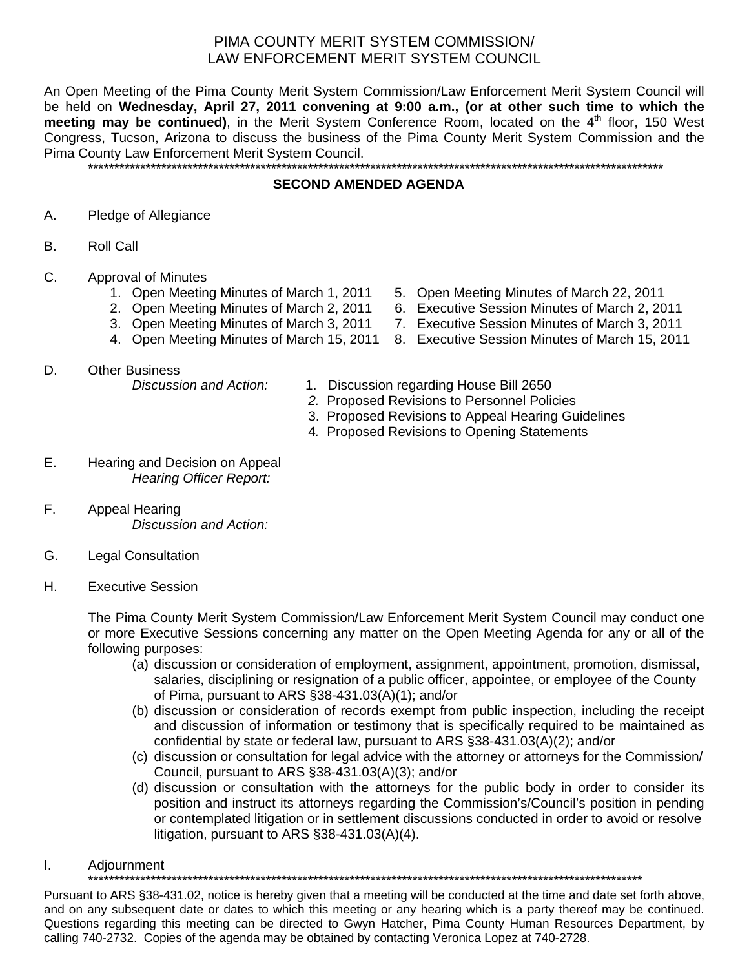## PIMA COUNTY MERIT SYSTEM COMMISSION/ LAW ENFORCEMENT MERIT SYSTEM COUNCIL

An Open Meeting of the Pima County Merit System Commission/Law Enforcement Merit System Council will be held on **Wednesday, April 27, 2011 convening at 9:00 a.m., (or at other such time to which the**  meeting may be continued), in the Merit System Conference Room, located on the 4<sup>th</sup> floor, 150 West Congress, Tucson, Arizona to discuss the business of the Pima County Merit System Commission and the Pima County Law Enforcement Merit System Council.

\*\*\*\*\*\*\*\*\*\*\*\*\*\*\*\*\*\*\*\*\*\*\*\*\*\*\*\*\*\*\*\*\*\*\*\*\*\*\*\*\*\*\*\*\*\*\*\*\*\*\*\*\*\*\*\*\*\*\*\*\*\*\*\*\*\*\*\*\*\*\*\*\*\*\*\*\*\*\*\*\*\*\*\*\*\*\*\*\*\*\*\*\*\*\*\*\*\*\*\*\*\*\*\*\*\*\*\*\*\*

## **SECOND AMENDED AGENDA**

- A. Pledge of Allegiance
- B. Roll Call
- C. Approval of Minutes
	- 1. Open Meeting Minutes of March 1, 2011 5. Open Meeting Minutes of March 22, 2011
	- 2. Open Meeting Minutes of March 2, 2011 6. Executive Session Minutes of March 2, 2011
	- 3. Open Meeting Minutes of March 3, 2011 7. Executive Session Minutes of March 3, 2011
	- 4. Open Meeting Minutes of March 15, 2011 8. Executive Session Minutes of March 15, 2011
- D. Other Business

- *Discussion and Action:* 1. Discussion regarding House Bill 2650
	- *2.* Proposed Revisions to Personnel Policies
	- 3. Proposed Revisions to Appeal Hearing Guidelines
	- 4*.* Proposed Revisions to Opening Statements
- E. Hearing and Decision on Appeal *Hearing Officer Report:*
- F. Appeal Hearing *Discussion and Action:*
- G. Legal Consultation
- H. Executive Session

The Pima County Merit System Commission/Law Enforcement Merit System Council may conduct one or more Executive Sessions concerning any matter on the Open Meeting Agenda for any or all of the following purposes:

- (a) discussion or consideration of employment, assignment, appointment, promotion, dismissal, salaries, disciplining or resignation of a public officer, appointee, or employee of the County of Pima, pursuant to ARS §38-431.03(A)(1); and/or
- (b) discussion or consideration of records exempt from public inspection, including the receipt and discussion of information or testimony that is specifically required to be maintained as confidential by state or federal law, pursuant to ARS §38-431.03(A)(2); and/or
- (c) discussion or consultation for legal advice with the attorney or attorneys for the Commission/ Council, pursuant to ARS §38-431.03(A)(3); and/or
- (d) discussion or consultation with the attorneys for the public body in order to consider its position and instruct its attorneys regarding the Commission's/Council's position in pending or contemplated litigation or in settlement discussions conducted in order to avoid or resolve litigation, pursuant to ARS §38-431.03(A)(4).
- I. Adjournment

\*\*\*\*\*\*\*\*\*\*\*\*\*\*\*\*\*\*\*\*\*\*\*\*\*\*\*\*\*\*\*\*\*\*\*\*\*\*\*\*\*\*\*\*\*\*\*\*\*\*\*\*\*\*\*\*\*\*\*\*\*\*\*\*\*\*\*\*\*\*\*\*\*\*\*\*\*\*\*\*\*\*\*\*\*\*\*\*\*\*\*\*\*\*\*\*\*\*\*\*\*\*\*\*\*\*

Pursuant to ARS §38-431.02, notice is hereby given that a meeting will be conducted at the time and date set forth above, and on any subsequent date or dates to which this meeting or any hearing which is a party thereof may be continued. Questions regarding this meeting can be directed to Gwyn Hatcher, Pima County Human Resources Department, by calling 740-2732. Copies of the agenda may be obtained by contacting Veronica Lopez at 740-2728.

- 
- 
- 
- 
-